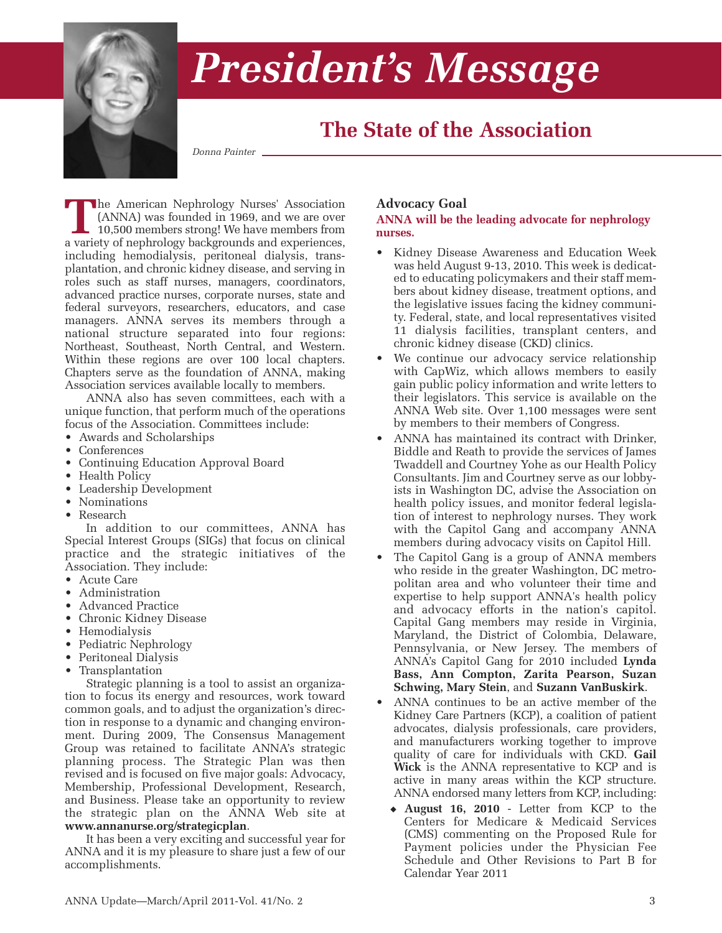

# *President's Message*

## **The State of the Association**

*Donna Painter*

**T**he American Nephrology Nurses' Association (ANNA) was founded in 1969, and we are over 10,500 members strong! We have members from a variety of nephrology backgrounds and experiences, including hemodialysis, peritoneal dialysis, transplantation, and chronic kidney disease, and serving in roles such as staff nurses, managers, coordinators, advanced practice nurses, corporate nurses, state and federal surveyors, researchers, educators, and case managers. ANNA serves its members through a national structure separated into four regions: Northeast, Southeast, North Central, and Western. Within these regions are over 100 local chapters. Chapters serve as the foundation of ANNA, making Association services available locally to members.

ANNA also has seven committees, each with a unique function, that perform much of the operations focus of the Association. Committees include:

- Awards and Scholarships
- Conferences
- Continuing Education Approval Board
- Health Policy
- Leadership Development
- Nominations
- Research

In addition to our committees, ANNA has Special Interest Groups (SIGs) that focus on clinical practice and the strategic initiatives of the Association. They include:

- Acute Care
- Administration
- Advanced Practice
- Chronic Kidney Disease
- Hemodialysis
- Pediatric Nephrology
- Peritoneal Dialysis
- Transplantation

Strategic planning is a tool to assist an organization to focus its energy and resources, work toward common goals, and to adjust the organization's direction in response to a dynamic and changing environment. During 2009, The Consensus Management Group was retained to facilitate ANNA's strategic planning process. The Strategic Plan was then revised and is focused on five major goals: Advocacy, Membership, Professional Development, Research, and Business. Please take an opportunity to review the strategic plan on the ANNA Web site at **www.annanurse.org/strategicplan**.

It has been a very exciting and successful year for ANNA and it is my pleasure to share just a few of our accomplishments.

### **Advocacy Goal**

#### **ANNA will be the leading advocate for nephrology nurses.**

- Kidney Disease Awareness and Education Week was held August 9-13, 2010. This week is dedicated to educating policymakers and their staff members about kidney disease, treatment options, and the legislative issues facing the kidney community. Federal, state, and local representatives visited 11 dialysis facilities, transplant centers, and chronic kidney disease (CKD) clinics.
- We continue our advocacy service relationship with CapWiz, which allows members to easily gain public policy information and write letters to their legislators. This service is available on the ANNA Web site. Over 1,100 messages were sent by members to their members of Congress.
- ANNA has maintained its contract with Drinker, Biddle and Reath to provide the services of James Twaddell and Courtney Yohe as our Health Policy Consultants. Jim and Courtney serve as our lobbyists in Washington DC, advise the Association on health policy issues, and monitor federal legislation of interest to nephrology nurses. They work with the Capitol Gang and accompany ANNA members during advocacy visits on Capitol Hill.
- The Capitol Gang is a group of ANNA members who reside in the greater Washington, DC metropolitan area and who volunteer their time and expertise to help support ANNA's health policy and advocacy efforts in the nation's capitol. Capital Gang members may reside in Virginia, Maryland, the District of Colombia, Delaware, Pennsylvania, or New Jersey. The members of ANNA's Capitol Gang for 2010 included **Lynda Bass, Ann Compton, Zarita Pearson, Suzan Schwing, Mary Stein**, and **Suzann VanBuskirk**.
- ANNA continues to be an active member of the Kidney Care Partners (KCP), a coalition of patient advocates, dialysis professionals, care providers, and manufacturers working together to improve quality of care for individuals with CKD. **Gail Wick** is the ANNA representative to KCP and is active in many areas within the KCP structure. ANNA endorsed many letters from KCP, including:
	- ◆ **August 16, 2010** Letter from KCP to the Centers for Medicare & Medicaid Services (CMS) commenting on the Proposed Rule for Payment policies under the Physician Fee Schedule and Other Revisions to Part B for Calendar Year 2011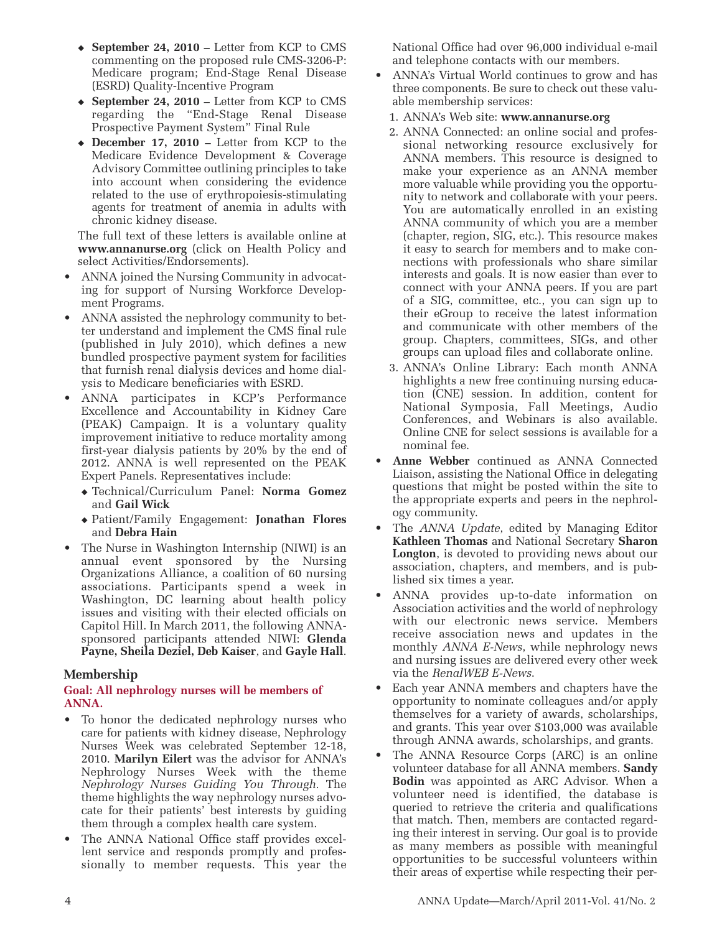- ◆ **September 24, 2010** Letter from KCP to CMS commenting on the proposed rule CMS-3206-P: Medicare program; End-Stage Renal Disease (ESRD) Quality-Incentive Program
- ◆ **September 24, 2010** Letter from KCP to CMS regarding the "End-Stage Renal Disease Prospective Payment System" Final Rule
- ◆ **December 17, 2010 –** Letter from KCP to the Medicare Evidence Development & Coverage Advisory Committee outlining principles to take into account when considering the evidence related to the use of erythropoiesis-stimulating agents for treatment of anemia in adults with chronic kidney disease.

 The full text of these letters is available online at **www.annanurse.org** (click on Health Policy and select Activities/Endorsements).

- ANNA joined the Nursing Community in advocating for support of Nursing Workforce Development Programs.
- ANNA assisted the nephrology community to better understand and implement the CMS final rule (published in July 2010), which defines a new bundled prospective payment system for facilities that furnish renal dialysis devices and home dialysis to Medicare beneficiaries with ESRD.
- ANNA participates in KCP's Performance Excellence and Accountability in Kidney Care (PEAK) Campaign. It is a voluntary quality improvement initiative to reduce mortality among first-year dialysis patients by 20% by the end of 2012. ANNA is well represented on the PEAK Expert Panels. Representatives include:
	- ◆ Technical/Curriculum Panel: **Norma Gomez** and **Gail Wick**
	- ◆ Patient/Family Engagement: **Jonathan Flores** and **Debra Hain**
- The Nurse in Washington Internship (NIWI) is an annual event sponsored by the Nursing Organizations Alliance, a coalition of 60 nursing associations. Participants spend a week in Washington, DC learning about health policy issues and visiting with their elected officials on Capitol Hill. In March 2011, the following ANNAsponsored participants attended NIWI: **Glenda Payne, Sheila Deziel, Deb Kaiser**, and **Gayle Hall**.

#### **Membership**

#### **Goal: All nephrology nurses will be members of ANNA.**

- To honor the dedicated nephrology nurses who care for patients with kidney disease, Nephrology Nurses Week was celebrated September 12-18, 2010. **Marilyn Eilert** was the advisor for ANNA's Nephrology Nurses Week with the theme *Nephrology Nurses Guiding You Through.* The theme highlights the way nephrology nurses advocate for their patients' best interests by guiding them through a complex health care system.
- The ANNA National Office staff provides excellent service and responds promptly and professionally to member requests. This year the

National Office had over 96,000 individual e-mail and telephone contacts with our members.

- ANNA's Virtual World continues to grow and has three components. Be sure to check out these valuable membership services:
	- 1. ANNA's Web site: **www.annanurse.org**
- 2. ANNA Connected: an online social and professional networking resource exclusively for ANNA members. This resource is designed to make your experience as an ANNA member more valuable while providing you the opportunity to network and collaborate with your peers. You are automatically enrolled in an existing ANNA community of which you are a member (chapter, region, SIG, etc.). This resource makes it easy to search for members and to make connections with professionals who share similar interests and goals. It is now easier than ever to connect with your ANNA peers. If you are part of a SIG, committee, etc., you can sign up to their eGroup to receive the latest information and communicate with other members of the group. Chapters, committees, SIGs, and other groups can upload files and collaborate online.
- 3. ANNA's Online Library: Each month ANNA highlights a new free continuing nursing education (CNE) session. In addition, content for National Symposia, Fall Meetings, Audio Conferences, and Webinars is also available. Online CNE for select sessions is available for a nominal fee.
- **Anne Webber** continued as ANNA Connected Liaison, assisting the National Office in delegating questions that might be posted within the site to the appropriate experts and peers in the nephrology community.
- The *ANNA Update*, edited by Managing Editor **Kathleen Thomas** and National Secretary **Sharon Longton**, is devoted to providing news about our association, chapters, and members, and is published six times a year.
- ANNA provides up-to-date information on Association activities and the world of nephrology with our electronic news service. Members receive association news and updates in the monthly *ANNA E-News*, while nephrology news and nursing issues are delivered every other week via the *RenalWEB E-News*.
- Each year ANNA members and chapters have the opportunity to nominate colleagues and/or apply themselves for a variety of awards, scholarships, and grants. This year over \$103,000 was available through ANNA awards, scholarships, and grants.
- The ANNA Resource Corps (ARC) is an online volunteer database for all ANNA members. **Sandy Bodin** was appointed as ARC Advisor. When a volunteer need is identified, the database is queried to retrieve the criteria and qualifications that match. Then, members are contacted regarding their interest in serving. Our goal is to provide as many members as possible with meaningful opportunities to be successful volunteers within their areas of expertise while respecting their per-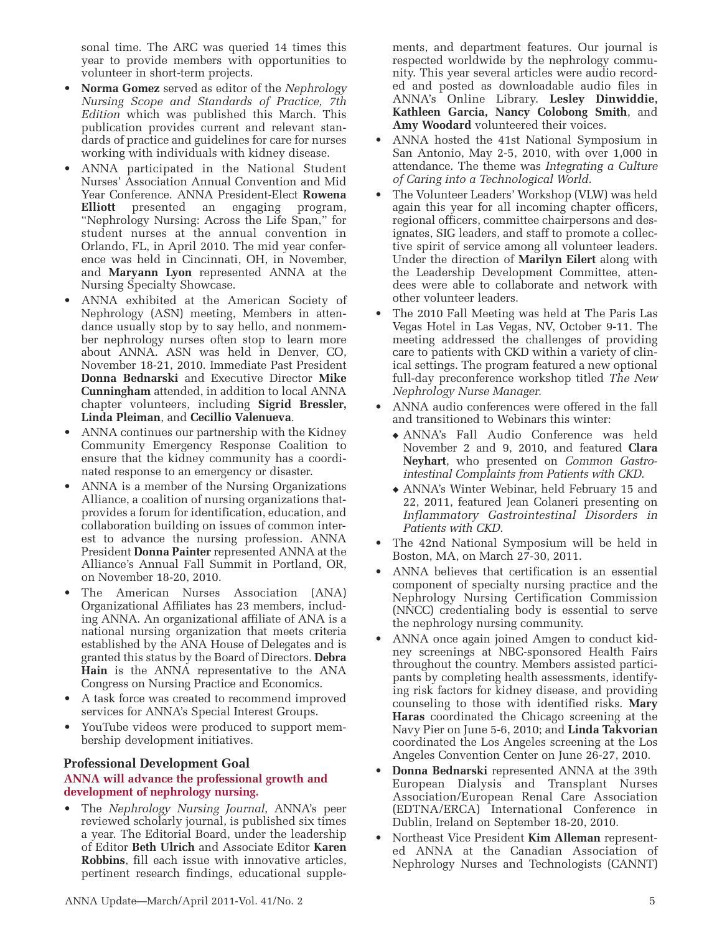sonal time. The ARC was queried 14 times this year to provide members with opportunities to volunteer in short-term projects.

- **Norma Gomez** served as editor of the *Nephrology Nursing Scope and Standards of Practice, 7th Edition* which was published this March. This publication provides current and relevant standards of practice and guidelines for care for nurses working with individuals with kidney disease.
- ANNA participated in the National Student Nurses' Association Annual Convention and Mid Year Conference. ANNA President-Elect **Rowena Elliott** presented an engaging program, "Nephrology Nursing: Across the Life Span," for student nurses at the annual convention in Orlando, FL, in April 2010. The mid year conference was held in Cincinnati, OH, in November, and **Maryann Lyon** represented ANNA at the Nursing Specialty Showcase.
- ANNA exhibited at the American Society of Nephrology (ASN) meeting, Members in attendance usually stop by to say hello, and nonmember nephrology nurses often stop to learn more about ANNA. ASN was held in Denver, CO, November 18-21, 2010. Immediate Past President **Donna Bednarski** and Executive Director **Mike Cunningham** attended, in addition to local ANNA chapter volunteers, including **Sigrid Bressler, Linda Pleiman**, and **Cecillio Valenueva**.
- ANNA continues our partnership with the Kidney Community Emergency Response Coalition to ensure that the kidney community has a coordinated response to an emergency or disaster.
- ANNA is a member of the Nursing Organizations Alliance, a coalition of nursing organizations thatprovides a forum for identification, education, and collaboration building on issues of common interest to advance the nursing profession. ANNA President **Donna Painter** represented ANNA at the Alliance's Annual Fall Summit in Portland, OR, on November 18-20, 2010.
- The American Nurses Association (ANA) Organizational Affiliates has 23 members, including ANNA. An organizational affiliate of ANA is a national nursing organization that meets criteria established by the ANA House of Delegates and is granted this status by the Board of Directors. **Debra Hain** is the ANNA representative to the ANA Congress on Nursing Practice and Economics.
- A task force was created to recommend improved services for ANNA's Special Interest Groups.
- YouTube videos were produced to support membership development initiatives.

#### **Professional Development Goal**

#### **ANNA will advance the professional growth and development of nephrology nursing.**

• The *Nephrology Nursing Journal*, ANNA's peer reviewed scholarly journal, is published six times a year. The Editorial Board, under the leadership of Editor **Beth Ulrich** and Associate Editor **Karen Robbins**, fill each issue with innovative articles, pertinent research findings, educational supplements, and department features. Our journal is respected worldwide by the nephrology community. This year several articles were audio recorded and posted as downloadable audio files in ANNA's Online Library. **Lesley Dinwiddie, Kathleen Garcia, Nancy Colobong Smith**, and **Amy Woodard** volunteered their voices.

- ANNA hosted the 41st National Symposium in San Antonio, May 2-5, 2010, with over 1,000 in attendance. The theme was *Integrating a Culture of Caring into a Technological World.*
- The Volunteer Leaders' Workshop (VLW) was held again this year for all incoming chapter officers, regional officers, committee chairpersons and designates, SIG leaders, and staff to promote a collective spirit of service among all volunteer leaders. Under the direction of **Marilyn Eilert** along with the Leadership Development Committee, attendees were able to collaborate and network with other volunteer leaders.
- The 2010 Fall Meeting was held at The Paris Las Vegas Hotel in Las Vegas, NV, October 9-11. The meeting addressed the challenges of providing care to patients with CKD within a variety of clinical settings. The program featured a new optional full-day preconference workshop titled *The New Nephrology Nurse Manager.*
- ANNA audio conferences were offered in the fall and transitioned to Webinars this winter:
	- ◆ ANNA's Fall Audio Conference was held November 2 and 9, 2010, and featured **Clara Neyhart**, who presented on *Common Gastro intestinal Complaints from Patients with CKD*.
	- ◆ ANNA's Winter Webinar, held February 15 and 22, 2011, featured Jean Colaneri presenting on *Inflammatory Gastrointestinal Disorders in Patients with CKD.*
- The 42nd National Symposium will be held in Boston, MA, on March 27-30, 2011.
- ANNA believes that certification is an essential component of specialty nursing practice and the Nephrology Nursing Certification Commission (NNCC) credentialing body is essential to serve the nephrology nursing community.
- ANNA once again joined Amgen to conduct kidney screenings at NBC-sponsored Health Fairs throughout the country. Members assisted participants by completing health assessments, identifying risk factors for kidney disease, and providing counseling to those with identified risks. **Mary Haras** coordinated the Chicago screening at the Navy Pier on June 5-6, 2010; and **Linda Takvorian** coordinated the Los Angeles screening at the Los Angeles Convention Center on June 26-27, 2010.
- **Donna Bednarski** represented ANNA at the 39th European Dialysis and Transplant Nurses Association/European Renal Care Association (EDTNA/ERCA) International Conference in Dublin, Ireland on September 18-20, 2010.
- Northeast Vice President **Kim Alleman** represented ANNA at the Canadian Association of Nephrology Nurses and Technologists (CANNT)